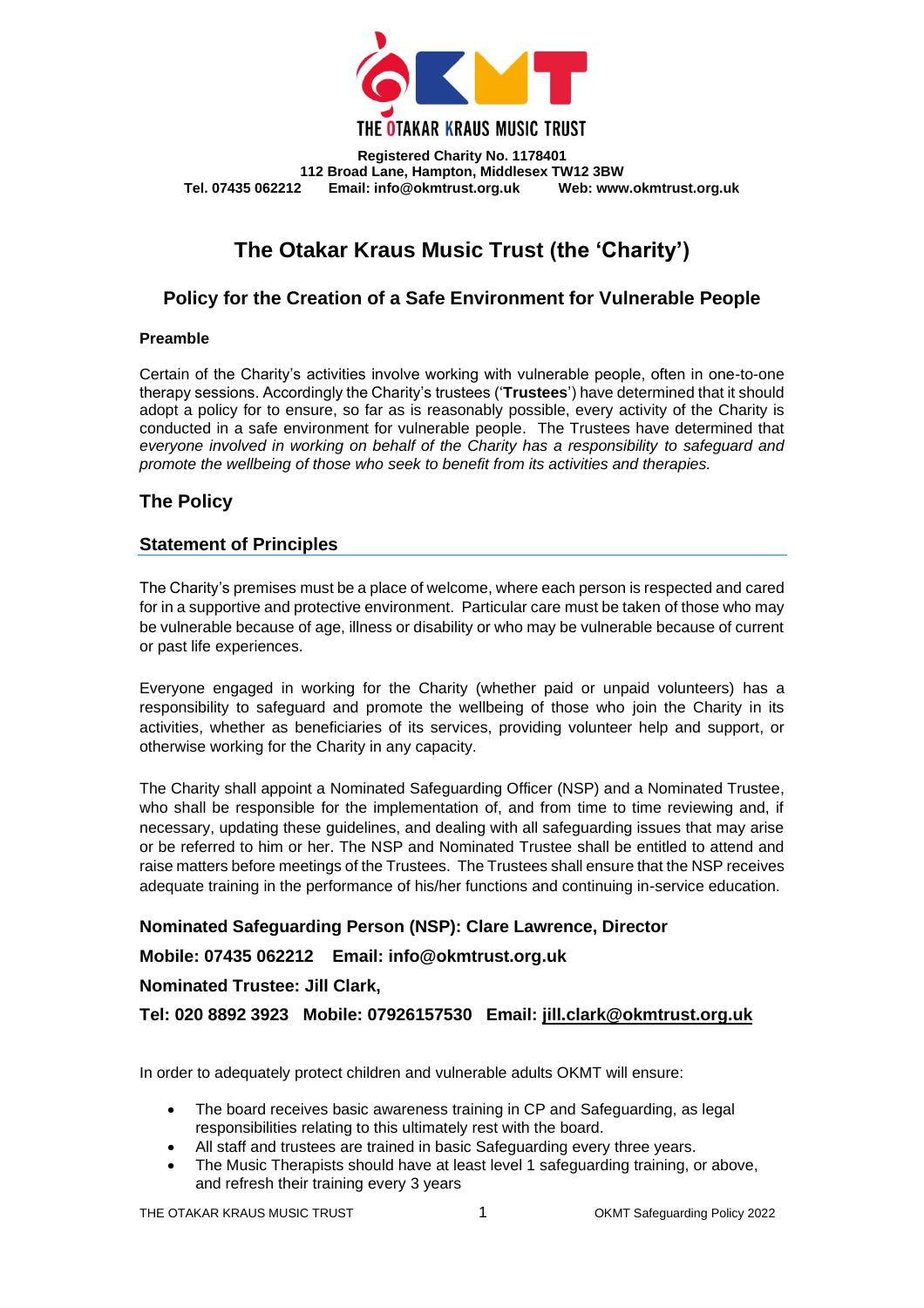

**Registered Charity No. 1178401 112 Broad Lane, Hampton, Middlesex TW12 3BW Email: info@okmtrust.org.uk** 

# **The Otakar Kraus Music Trust (the 'Charity')**

# **Policy for the Creation of a Safe Environment for Vulnerable People**

### **Preamble**

Certain of the Charity's activities involve working with vulnerable people, often in one-to-one therapy sessions. Accordingly the Charity's trustees ('**Trustees**') have determined that it should adopt a policy for to ensure, so far as is reasonably possible, every activity of the Charity is conducted in a safe environment for vulnerable people. The Trustees have determined that *everyone involved in working on behalf of the Charity has a responsibility to safeguard and promote the wellbeing of those who seek to benefit from its activities and therapies.*

# **The Policy**

### **Statement of Principles**

The Charity's premises must be a place of welcome, where each person is respected and cared for in a supportive and protective environment. Particular care must be taken of those who may be vulnerable because of age, illness or disability or who may be vulnerable because of current or past life experiences.

Everyone engaged in working for the Charity (whether paid or unpaid volunteers) has a responsibility to safeguard and promote the wellbeing of those who join the Charity in its activities, whether as beneficiaries of its services, providing volunteer help and support, or otherwise working for the Charity in any capacity.

The Charity shall appoint a Nominated Safeguarding Officer (NSP) and a Nominated Trustee, who shall be responsible for the implementation of, and from time to time reviewing and, if necessary, updating these guidelines, and dealing with all safeguarding issues that may arise or be referred to him or her. The NSP and Nominated Trustee shall be entitled to attend and raise matters before meetings of the Trustees. The Trustees shall ensure that the NSP receives adequate training in the performance of his/her functions and continuing in-service education.

# **Nominated Safeguarding Person (NSP): Clare Lawrence, Director**

# **Mobile: 07435 062212 Email: info@okmtrust.org.uk**

### **Nominated Trustee: Jill Clark,**

**Tel: 020 8892 3923 Mobile: 07926157530 Email: [jill.clark@okmtrust.org.uk](mailto:jill.clark@okmtrust.org.uk)**

In order to adequately protect children and vulnerable adults OKMT will ensure:

- The board receives basic awareness training in CP and Safeguarding, as legal responsibilities relating to this ultimately rest with the board.
- All staff and trustees are trained in basic Safeguarding every three years.
- The Music Therapists should have at least level 1 safeguarding training, or above, and refresh their training every 3 years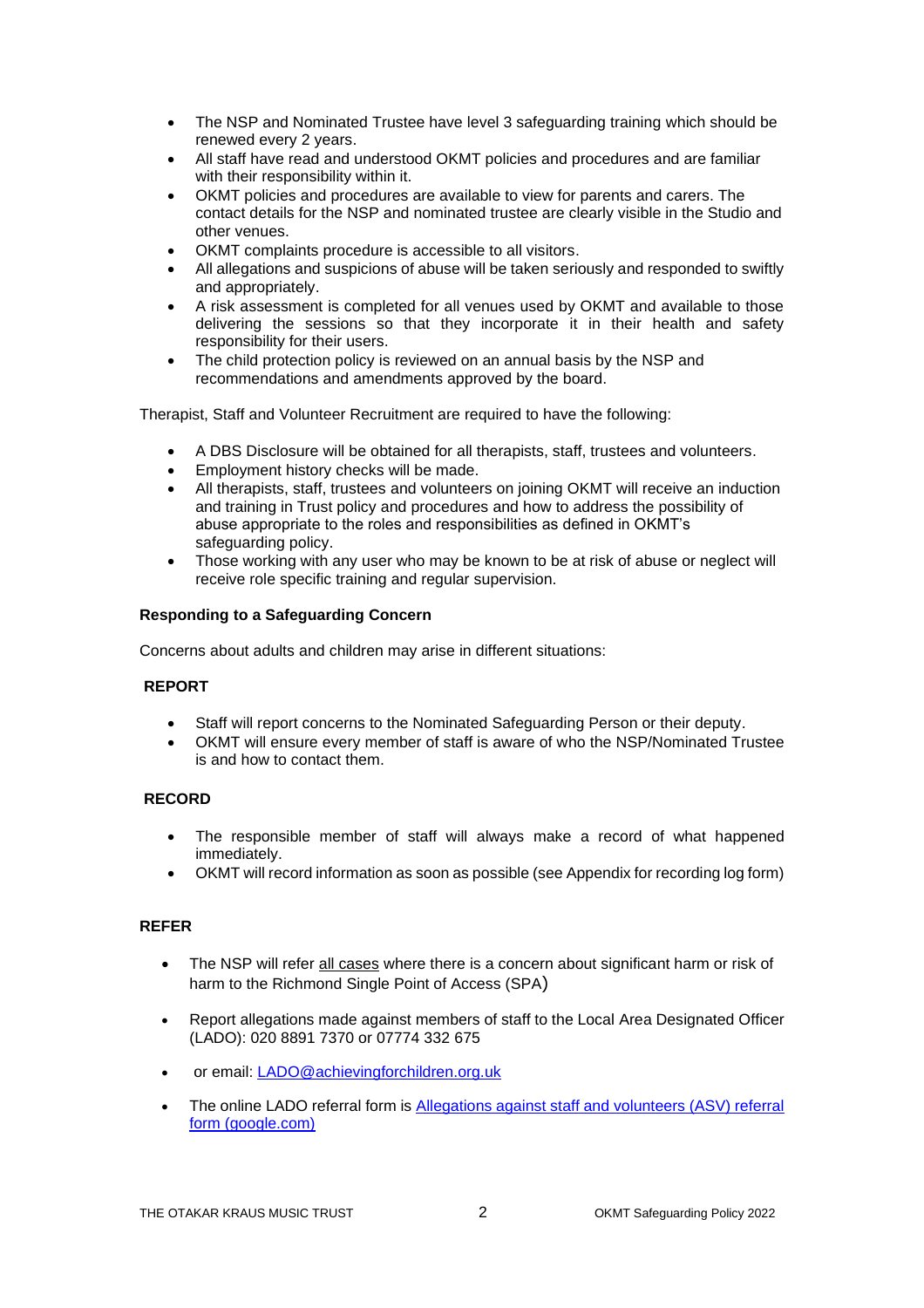- The NSP and Nominated Trustee have level 3 safeguarding training which should be renewed every 2 years.
- All staff have read and understood OKMT policies and procedures and are familiar with their responsibility within it.
- OKMT policies and procedures are available to view for parents and carers. The contact details for the NSP and nominated trustee are clearly visible in the Studio and other venues.
- OKMT complaints procedure is accessible to all visitors.
- All allegations and suspicions of abuse will be taken seriously and responded to swiftly and appropriately.
- A risk assessment is completed for all venues used by OKMT and available to those delivering the sessions so that they incorporate it in their health and safety responsibility for their users.
- The child protection policy is reviewed on an annual basis by the NSP and recommendations and amendments approved by the board.

Therapist, Staff and Volunteer Recruitment are required to have the following:

- A DBS Disclosure will be obtained for all therapists, staff, trustees and volunteers.
- Employment history checks will be made.
- All therapists, staff, trustees and volunteers on joining OKMT will receive an induction and training in Trust policy and procedures and how to address the possibility of abuse appropriate to the roles and responsibilities as defined in OKMT's safeguarding policy.
- Those working with any user who may be known to be at risk of abuse or neglect will receive role specific training and regular supervision.

### **Responding to a Safeguarding Concern**

Concerns about adults and children may arise in different situations:

### **REPORT**

- Staff will report concerns to the Nominated Safeguarding Person or their deputy.
- OKMT will ensure every member of staff is aware of who the NSP/Nominated Trustee is and how to contact them.

### **RECORD**

- The responsible member of staff will always make a record of what happened immediately.
- OKMT will record information as soon as possible (see Appendix for recording log form)

### **REFER**

- The NSP will refer all cases where there is a concern about significant harm or risk of harm to the Richmond Single Point of Access (SPA)
- Report allegations made against members of staff to the Local Area Designated Officer (LADO): 020 8891 7370 or 07774 332 675
- or email: [LADO@achievingforchildren.org.uk](mailto:LADO@achievingforchildren.org.uk)
- The online LADO referral form is [Allegations against staff and volunteers \(ASV\) referral](https://docs.google.com/forms/d/e/1FAIpQLSdYVca4qbvFJS71sD2PzYr8mhyot9GrOdzsHUUYOmJeM7uCKA/viewform)  [form \(google.com\)](https://docs.google.com/forms/d/e/1FAIpQLSdYVca4qbvFJS71sD2PzYr8mhyot9GrOdzsHUUYOmJeM7uCKA/viewform)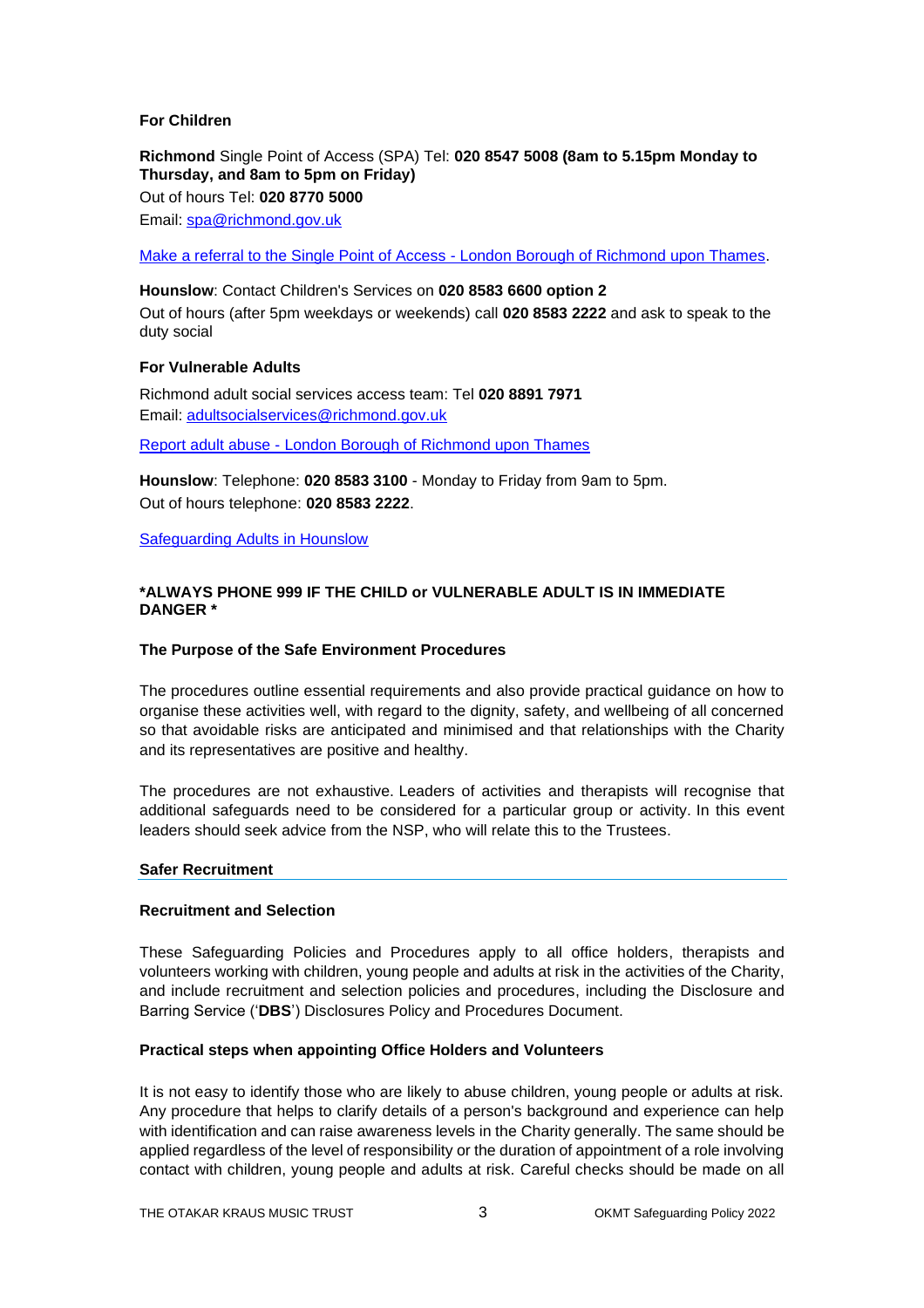### **For Children**

**Richmond** Single Point of Access (SPA) Tel: **020 8547 5008 (8am to 5.15pm Monday to Thursday, and 8am to 5pm on Friday)** Out of hours Tel: **020 8770 5000** Email: [spa@richmond.gov.uk](mailto:spa@richmond.gov.uk)

[Make a referral to the Single Point of Access -](https://www.richmond.gov.uk/services/children_and_family_care/single_point_of_access/single_point_of_access_for_professionals/make_a_referral_to_spa) London Borough of Richmond upon Thames.

**Hounslow**: Contact Children's Services on **020 8583 6600 option 2** Out of hours (after 5pm weekdays or weekends) call **020 8583 2222** and ask to speak to the duty social

### **For Vulnerable Adults**

Richmond adult social services access team: Tel **020 8891 7971** Email: [adultsocialservices@richmond.gov.uk](mailto:adultsocialservices@richmond.gov.uk)

Report adult abuse - [London Borough of Richmond upon Thames](https://www.richmond.gov.uk/services/adult_social_care/safeguarding_adults/report_adult_abuse)

**Hounslow**: Telephone: **020 8583 3100** - Monday to Friday from 9am to 5pm. Out of hours telephone: **020 8583 2222**.

[Safeguarding Adults in Hounslow](https://www.hounslow.gov.uk/info/20130/safeguarding_adults_at_risk)

### **\*ALWAYS PHONE 999 IF THE CHILD or VULNERABLE ADULT IS IN IMMEDIATE DANGER \***

### **The Purpose of the Safe Environment Procedures**

The procedures outline essential requirements and also provide practical guidance on how to organise these activities well, with regard to the dignity, safety, and wellbeing of all concerned so that avoidable risks are anticipated and minimised and that relationships with the Charity and its representatives are positive and healthy.

The procedures are not exhaustive. Leaders of activities and therapists will recognise that additional safeguards need to be considered for a particular group or activity. In this event leaders should seek advice from the NSP, who will relate this to the Trustees.

#### **Safer Recruitment**

### **Recruitment and Selection**

These Safeguarding Policies and Procedures apply to all office holders, therapists and volunteers working with children, young people and adults at risk in the activities of the Charity, and include recruitment and selection policies and procedures, including the Disclosure and Barring Service ('**DBS**') Disclosures Policy and Procedures Document.

#### **Practical steps when appointing Office Holders and Volunteers**

It is not easy to identify those who are likely to abuse children, young people or adults at risk. Any procedure that helps to clarify details of a person's background and experience can help with identification and can raise awareness levels in the Charity generally. The same should be applied regardless of the level of responsibility or the duration of appointment of a role involving contact with children, young people and adults at risk. Careful checks should be made on all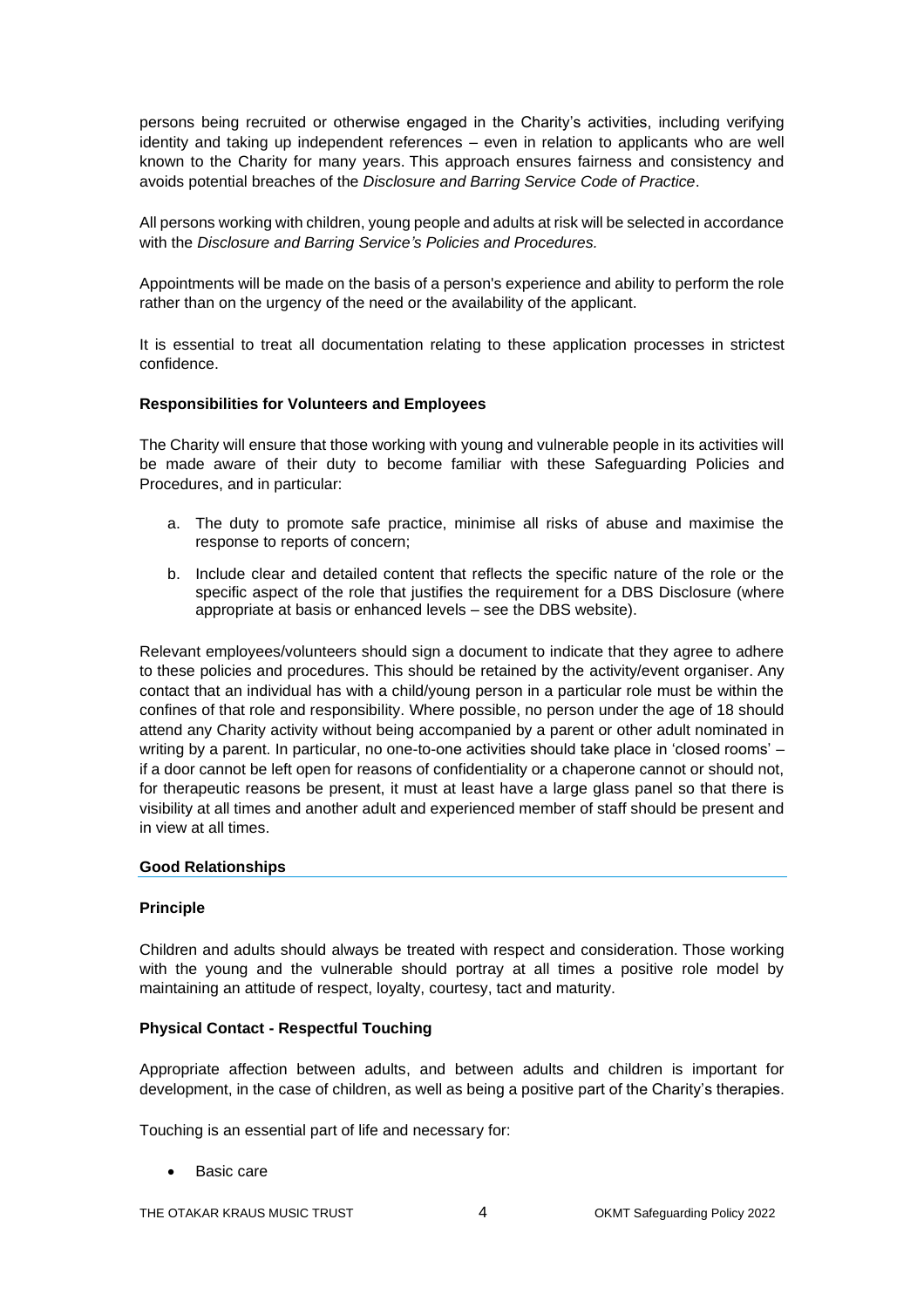persons being recruited or otherwise engaged in the Charity's activities, including verifying identity and taking up independent references – even in relation to applicants who are well known to the Charity for many years. This approach ensures fairness and consistency and avoids potential breaches of the *Disclosure and Barring Service Code of Practice*.

All persons working with children, young people and adults at risk will be selected in accordance with the *Disclosure and Barring Service's Policies and Procedures.*

Appointments will be made on the basis of a person's experience and ability to perform the role rather than on the urgency of the need or the availability of the applicant.

It is essential to treat all documentation relating to these application processes in strictest confidence.

#### **Responsibilities for Volunteers and Employees**

The Charity will ensure that those working with young and vulnerable people in its activities will be made aware of their duty to become familiar with these Safeguarding Policies and Procedures, and in particular:

- a. The duty to promote safe practice, minimise all risks of abuse and maximise the response to reports of concern;
- b. Include clear and detailed content that reflects the specific nature of the role or the specific aspect of the role that justifies the requirement for a DBS Disclosure (where appropriate at basis or enhanced levels – see the DBS website).

Relevant employees/volunteers should sign a document to indicate that they agree to adhere to these policies and procedures. This should be retained by the activity/event organiser. Any contact that an individual has with a child/young person in a particular role must be within the confines of that role and responsibility. Where possible, no person under the age of 18 should attend any Charity activity without being accompanied by a parent or other adult nominated in writing by a parent. In particular, no one-to-one activities should take place in 'closed rooms' – if a door cannot be left open for reasons of confidentiality or a chaperone cannot or should not, for therapeutic reasons be present, it must at least have a large glass panel so that there is visibility at all times and another adult and experienced member of staff should be present and in view at all times.

#### **Good Relationships**

#### **Principle**

Children and adults should always be treated with respect and consideration. Those working with the young and the vulnerable should portray at all times a positive role model by maintaining an attitude of respect, loyalty, courtesy, tact and maturity.

### **Physical Contact - Respectful Touching**

Appropriate affection between adults, and between adults and children is important for development, in the case of children, as well as being a positive part of the Charity's therapies.

Touching is an essential part of life and necessary for:

Basic care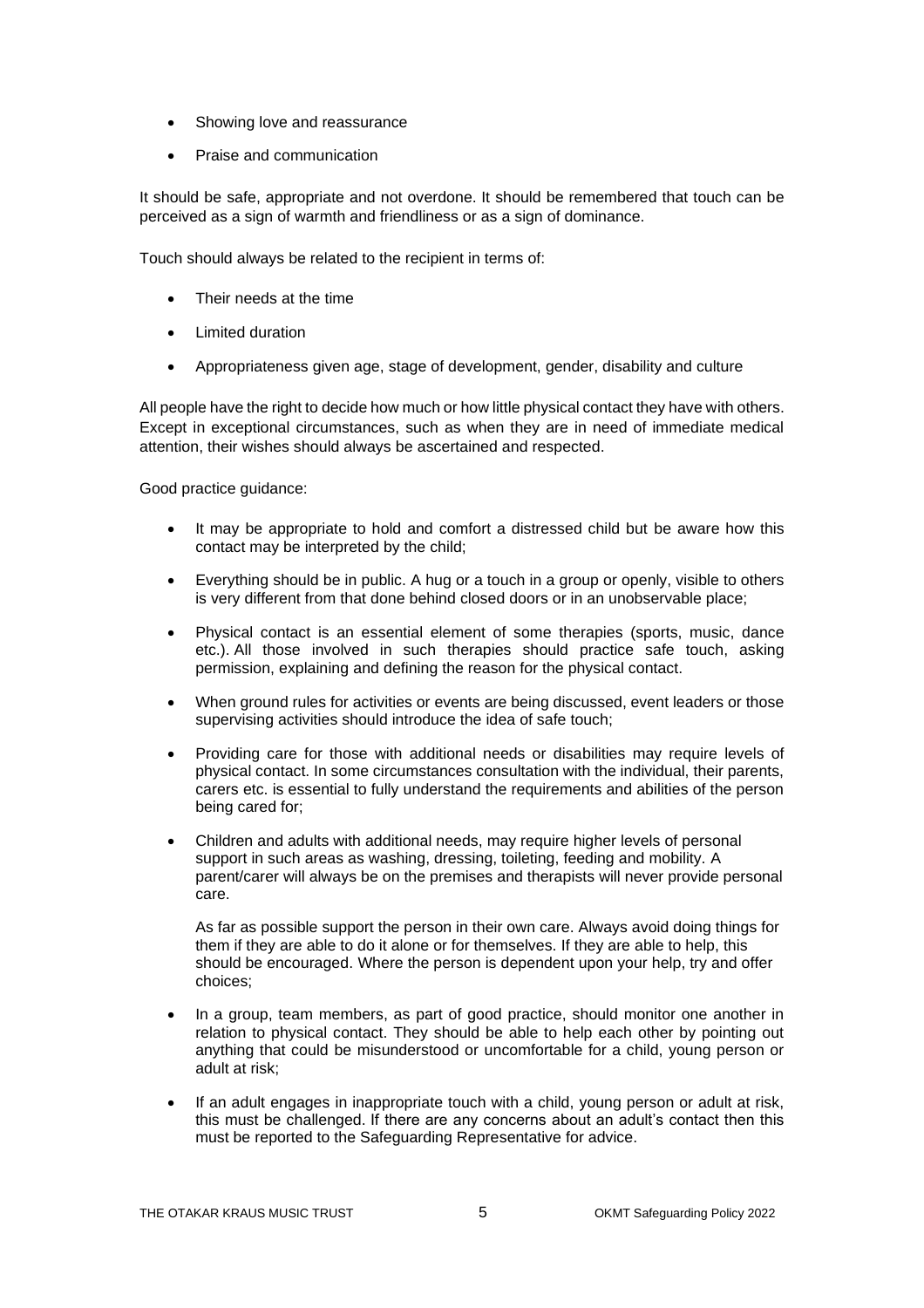- Showing love and reassurance
- Praise and communication

It should be safe, appropriate and not overdone. It should be remembered that touch can be perceived as a sign of warmth and friendliness or as a sign of dominance.

Touch should always be related to the recipient in terms of:

- Their needs at the time
- Limited duration
- Appropriateness given age, stage of development, gender, disability and culture

All people have the right to decide how much or how little physical contact they have with others. Except in exceptional circumstances, such as when they are in need of immediate medical attention, their wishes should always be ascertained and respected.

Good practice guidance:

- It may be appropriate to hold and comfort a distressed child but be aware how this contact may be interpreted by the child;
- Everything should be in public. A hug or a touch in a group or openly, visible to others is very different from that done behind closed doors or in an unobservable place;
- Physical contact is an essential element of some therapies (sports, music, dance etc.). All those involved in such therapies should practice safe touch, asking permission, explaining and defining the reason for the physical contact.
- When ground rules for activities or events are being discussed, event leaders or those supervising activities should introduce the idea of safe touch;
- Providing care for those with additional needs or disabilities may require levels of physical contact. In some circumstances consultation with the individual, their parents, carers etc. is essential to fully understand the requirements and abilities of the person being cared for;
- Children and adults with additional needs, may require higher levels of personal support in such areas as washing, dressing, toileting, feeding and mobility. A parent/carer will always be on the premises and therapists will never provide personal care.

As far as possible support the person in their own care. Always avoid doing things for them if they are able to do it alone or for themselves. If they are able to help, this should be encouraged. Where the person is dependent upon your help, try and offer choices;

- In a group, team members, as part of good practice, should monitor one another in relation to physical contact. They should be able to help each other by pointing out anything that could be misunderstood or uncomfortable for a child, young person or adult at risk;
- If an adult engages in inappropriate touch with a child, young person or adult at risk, this must be challenged. If there are any concerns about an adult's contact then this must be reported to the Safeguarding Representative for advice.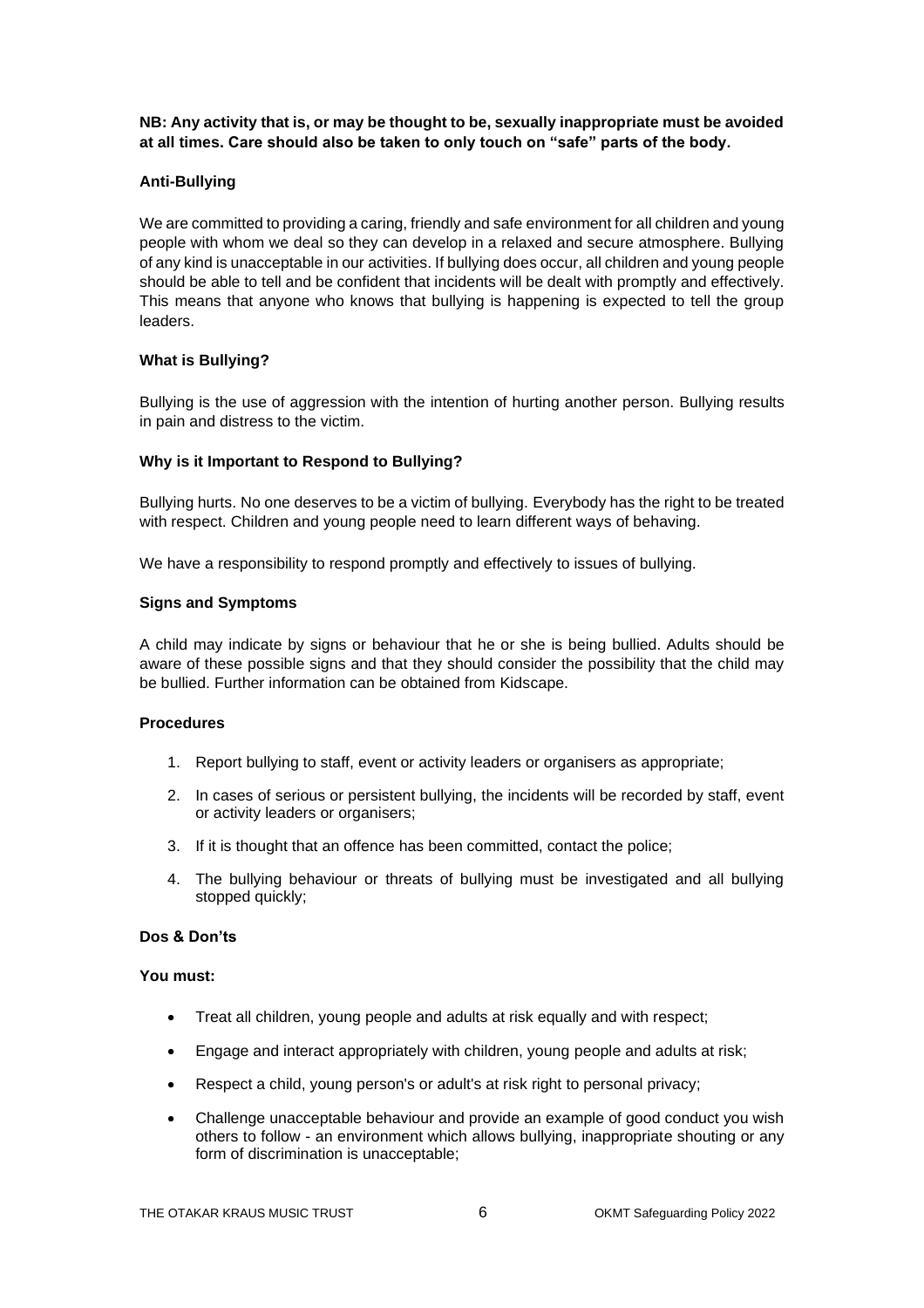**NB: Any activity that is, or may be thought to be, sexually inappropriate must be avoided at all times. Care should also be taken to only touch on "safe" parts of the body.**

### **Anti-Bullying**

We are committed to providing a caring, friendly and safe environment for all children and young people with whom we deal so they can develop in a relaxed and secure atmosphere. Bullying of any kind is unacceptable in our activities. If bullying does occur, all children and young people should be able to tell and be confident that incidents will be dealt with promptly and effectively. This means that anyone who knows that bullying is happening is expected to tell the group leaders.

### **What is Bullying?**

Bullying is the use of aggression with the intention of hurting another person. Bullying results in pain and distress to the victim.

### **Why is it Important to Respond to Bullying?**

Bullying hurts. No one deserves to be a victim of bullying. Everybody has the right to be treated with respect. Children and young people need to learn different ways of behaving.

We have a responsibility to respond promptly and effectively to issues of bullying.

### **Signs and Symptoms**

A child may indicate by signs or behaviour that he or she is being bullied. Adults should be aware of these possible signs and that they should consider the possibility that the child may be bullied. Further information can be obtained from Kidscape.

#### **Procedures**

- 1. Report bullying to staff, event or activity leaders or organisers as appropriate;
- 2. In cases of serious or persistent bullying, the incidents will be recorded by staff, event or activity leaders or organisers;
- 3. If it is thought that an offence has been committed, contact the police;
- 4. The bullying behaviour or threats of bullying must be investigated and all bullying stopped quickly;

#### **Dos & Don'ts**

### **You must:**

- Treat all children, young people and adults at risk equally and with respect;
- Engage and interact appropriately with children, young people and adults at risk;
- Respect a child, young person's or adult's at risk right to personal privacy;
- Challenge unacceptable behaviour and provide an example of good conduct you wish others to follow - an environment which allows bullying, inappropriate shouting or any form of discrimination is unacceptable;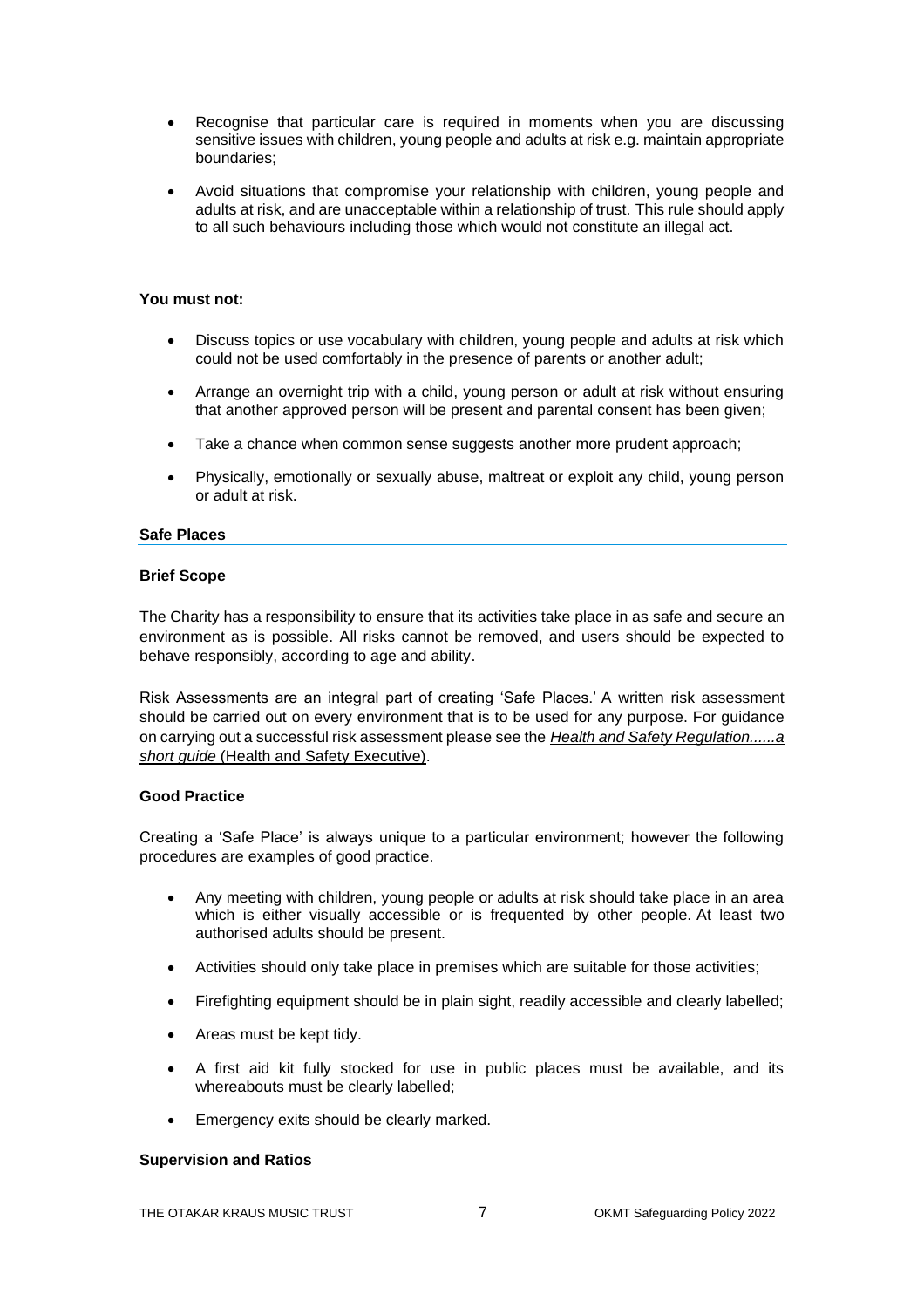- Recognise that particular care is required in moments when you are discussing sensitive issues with children, young people and adults at risk e.g. maintain appropriate boundaries;
- Avoid situations that compromise your relationship with children, young people and adults at risk, and are unacceptable within a relationship of trust. This rule should apply to all such behaviours including those which would not constitute an illegal act.

### **You must not:**

- Discuss topics or use vocabulary with children, young people and adults at risk which could not be used comfortably in the presence of parents or another adult;
- Arrange an overnight trip with a child, young person or adult at risk without ensuring that another approved person will be present and parental consent has been given;
- Take a chance when common sense suggests another more prudent approach;
- Physically, emotionally or sexually abuse, maltreat or exploit any child, young person or adult at risk.

### **Safe Places**

#### **Brief Scope**

The Charity has a responsibility to ensure that its activities take place in as safe and secure an environment as is possible. All risks cannot be removed, and users should be expected to behave responsibly, according to age and ability.

Risk Assessments are an integral part of creating 'Safe Places.' A written risk assessment should be carried out on every environment that is to be used for any purpose. For guidance on carrying out a successful risk assessment please see the *[Health and Safety Regulation......a](http://www.hse.gov.uk/pubns/hsc13.pdf)  short guide* [\(Health and Safety Executive\).](http://www.hse.gov.uk/pubns/hsc13.pdf)

#### **Good Practice**

Creating a 'Safe Place' is always unique to a particular environment; however the following procedures are examples of good practice.

- Any meeting with children, young people or adults at risk should take place in an area which is either visually accessible or is frequented by other people. At least two authorised adults should be present.
- Activities should only take place in premises which are suitable for those activities;
- Firefighting equipment should be in plain sight, readily accessible and clearly labelled;
- Areas must be kept tidy.
- A first aid kit fully stocked for use in public places must be available, and its whereabouts must be clearly labelled;
- Emergency exits should be clearly marked.

#### **Supervision and Ratios**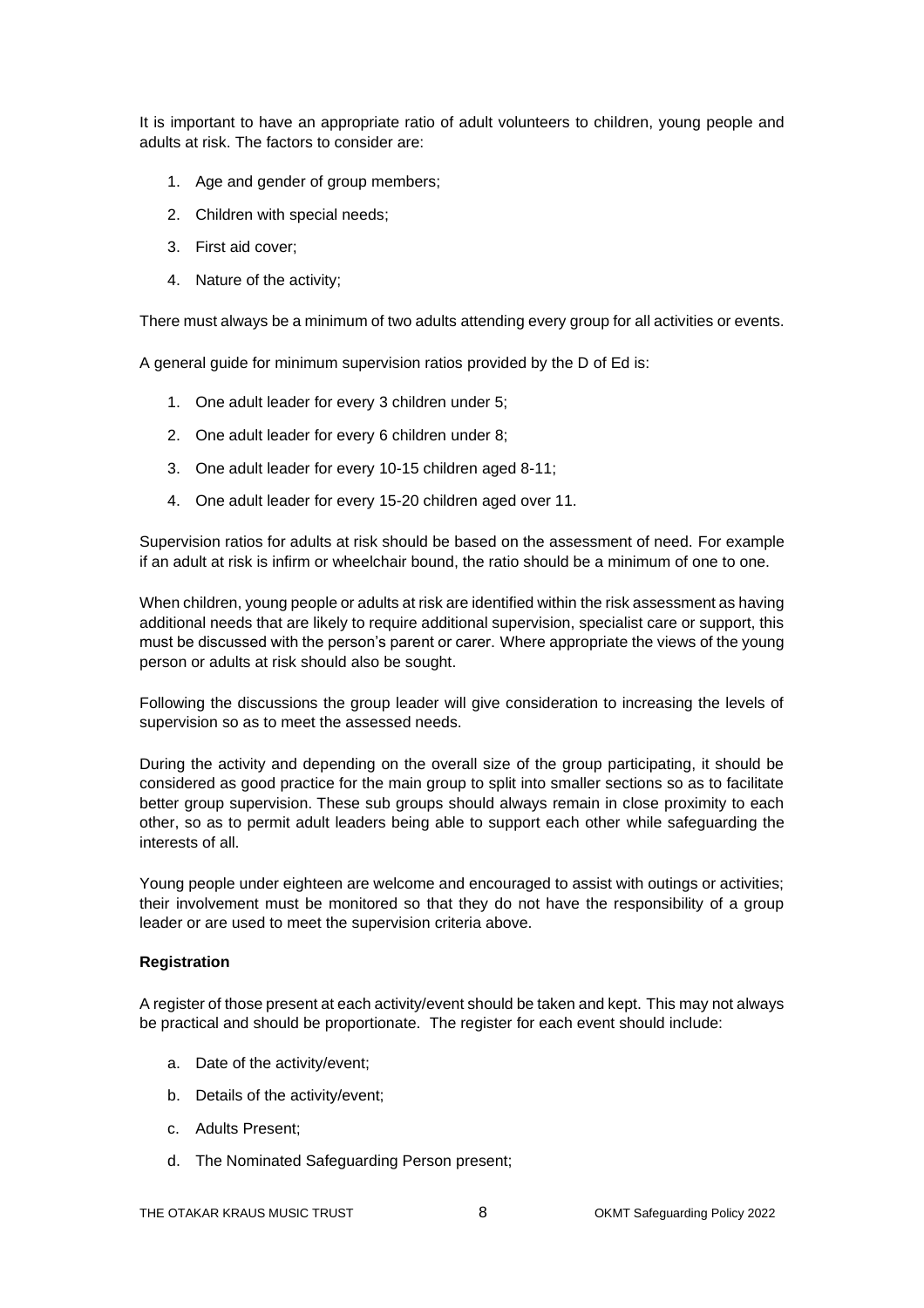It is important to have an appropriate ratio of adult volunteers to children, young people and adults at risk. The factors to consider are:

- 1. Age and gender of group members;
- 2. Children with special needs;
- 3. First aid cover;
- 4. Nature of the activity;

There must always be a minimum of two adults attending every group for all activities or events.

A general guide for minimum supervision ratios provided by the D of Ed is:

- 1. One adult leader for every 3 children under 5;
- 2. One adult leader for every 6 children under 8;
- 3. One adult leader for every 10-15 children aged 8-11;
- 4. One adult leader for every 15-20 children aged over 11.

Supervision ratios for adults at risk should be based on the assessment of need. For example if an adult at risk is infirm or wheelchair bound, the ratio should be a minimum of one to one.

When children, young people or adults at risk are identified within the risk assessment as having additional needs that are likely to require additional supervision, specialist care or support, this must be discussed with the person's parent or carer. Where appropriate the views of the young person or adults at risk should also be sought.

Following the discussions the group leader will give consideration to increasing the levels of supervision so as to meet the assessed needs.

During the activity and depending on the overall size of the group participating, it should be considered as good practice for the main group to split into smaller sections so as to facilitate better group supervision. These sub groups should always remain in close proximity to each other, so as to permit adult leaders being able to support each other while safeguarding the interests of all.

Young people under eighteen are welcome and encouraged to assist with outings or activities; their involvement must be monitored so that they do not have the responsibility of a group leader or are used to meet the supervision criteria above.

#### **Registration**

A register of those present at each activity/event should be taken and kept. This may not always be practical and should be proportionate. The register for each event should include:

- a. Date of the activity/event;
- b. Details of the activity/event;
- c. Adults Present;
- d. The Nominated Safeguarding Person present;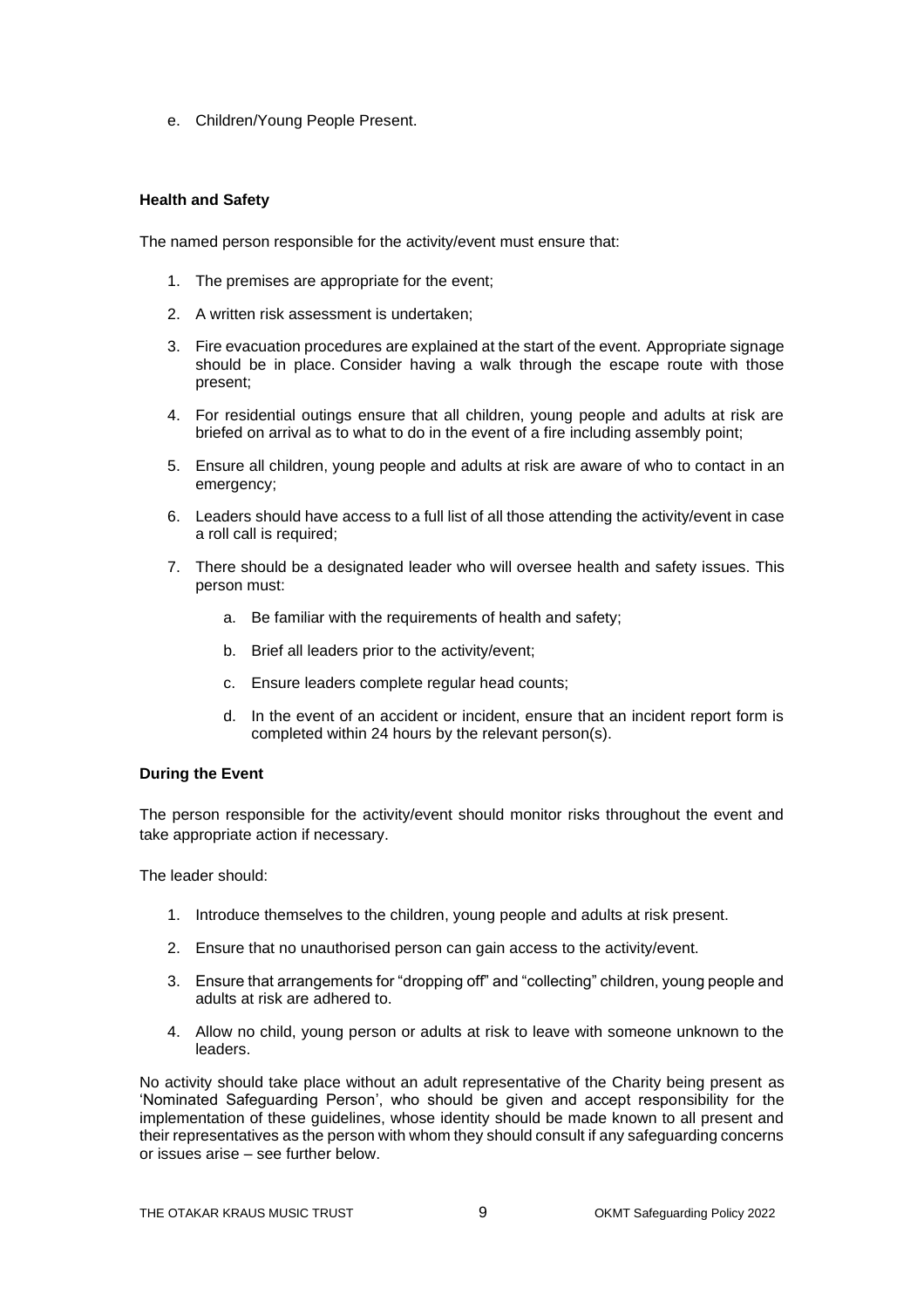e. Children/Young People Present.

### **Health and Safety**

The named person responsible for the activity/event must ensure that:

- 1. The premises are appropriate for the event;
- 2. A written risk assessment is undertaken;
- 3. Fire evacuation procedures are explained at the start of the event. Appropriate signage should be in place. Consider having a walk through the escape route with those present;
- 4. For residential outings ensure that all children, young people and adults at risk are briefed on arrival as to what to do in the event of a fire including assembly point;
- 5. Ensure all children, young people and adults at risk are aware of who to contact in an emergency;
- 6. Leaders should have access to a full list of all those attending the activity/event in case a roll call is required;
- 7. There should be a designated leader who will oversee health and safety issues. This person must:
	- a. Be familiar with the requirements of health and safety;
	- b. Brief all leaders prior to the activity/event;
	- c. Ensure leaders complete regular head counts;
	- d. In the event of an accident or incident, ensure that an incident report form is completed within 24 hours by the relevant person(s).

### **During the Event**

The person responsible for the activity/event should monitor risks throughout the event and take appropriate action if necessary.

The leader should:

- 1. Introduce themselves to the children, young people and adults at risk present.
- 2. Ensure that no unauthorised person can gain access to the activity/event.
- 3. Ensure that arrangements for "dropping off" and "collecting" children, young people and adults at risk are adhered to.
- 4. Allow no child, young person or adults at risk to leave with someone unknown to the leaders.

No activity should take place without an adult representative of the Charity being present as 'Nominated Safeguarding Person', who should be given and accept responsibility for the implementation of these guidelines, whose identity should be made known to all present and their representatives as the person with whom they should consult if any safeguarding concerns or issues arise – see further below.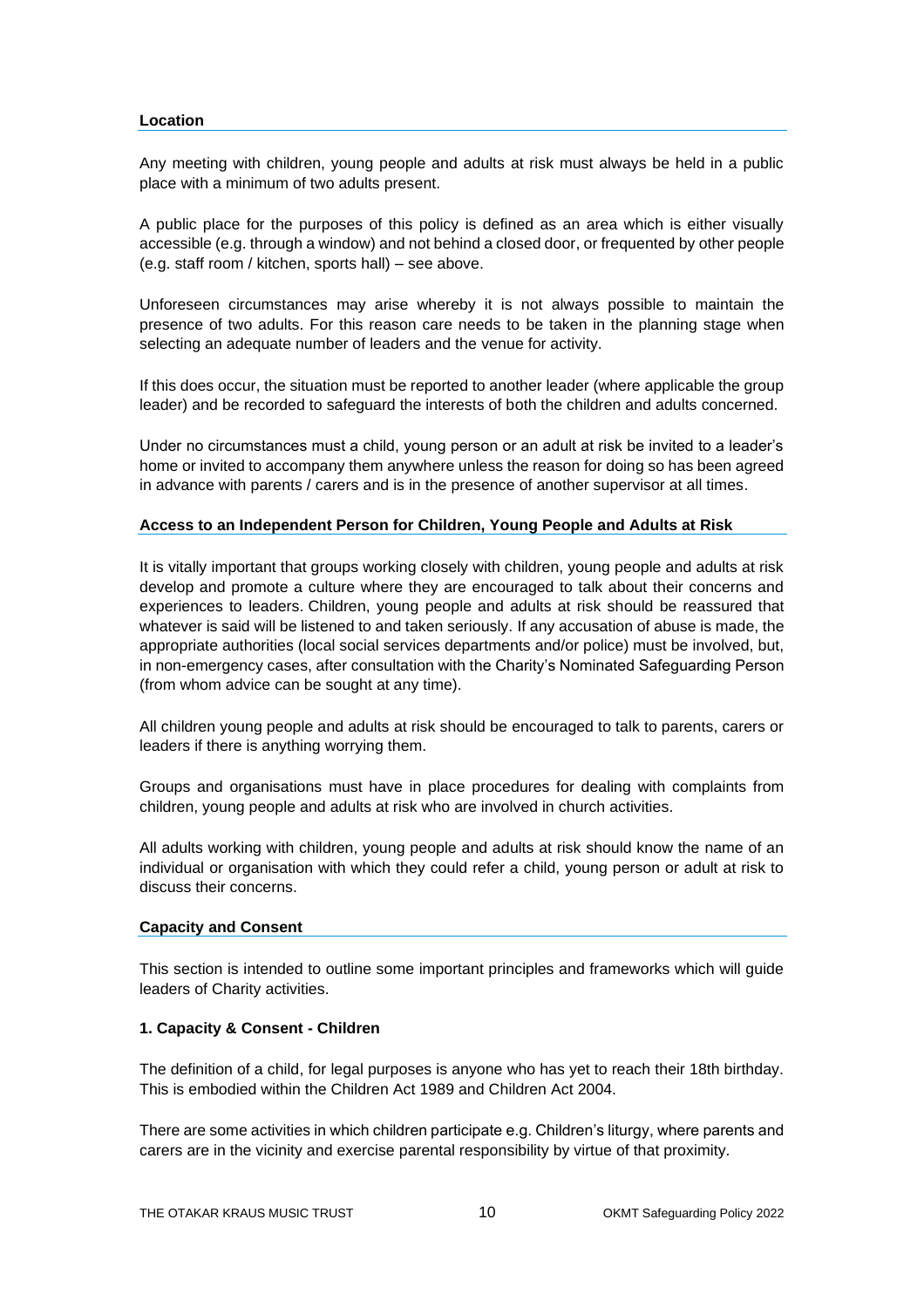### **Location**

Any meeting with children, young people and adults at risk must always be held in a public place with a minimum of two adults present.

A public place for the purposes of this policy is defined as an area which is either visually accessible (e.g. through a window) and not behind a closed door, or frequented by other people (e.g. staff room / kitchen, sports hall) – see above.

Unforeseen circumstances may arise whereby it is not always possible to maintain the presence of two adults. For this reason care needs to be taken in the planning stage when selecting an adequate number of leaders and the venue for activity.

If this does occur, the situation must be reported to another leader (where applicable the group leader) and be recorded to safeguard the interests of both the children and adults concerned.

Under no circumstances must a child, young person or an adult at risk be invited to a leader's home or invited to accompany them anywhere unless the reason for doing so has been agreed in advance with parents / carers and is in the presence of another supervisor at all times.

### **Access to an Independent Person for Children, Young People and Adults at Risk**

It is vitally important that groups working closely with children, young people and adults at risk develop and promote a culture where they are encouraged to talk about their concerns and experiences to leaders. Children, young people and adults at risk should be reassured that whatever is said will be listened to and taken seriously. If any accusation of abuse is made, the appropriate authorities (local social services departments and/or police) must be involved, but, in non-emergency cases, after consultation with the Charity's Nominated Safeguarding Person (from whom advice can be sought at any time).

All children young people and adults at risk should be encouraged to talk to parents, carers or leaders if there is anything worrying them.

Groups and organisations must have in place procedures for dealing with complaints from children, young people and adults at risk who are involved in church activities.

All adults working with children, young people and adults at risk should know the name of an individual or organisation with which they could refer a child, young person or adult at risk to discuss their concerns.

#### **Capacity and Consent**

This section is intended to outline some important principles and frameworks which will guide leaders of Charity activities.

### **1. Capacity & Consent - Children**

The definition of a child, for legal purposes is anyone who has yet to reach their 18th birthday. This is embodied within the Children Act 1989 and Children Act 2004.

There are some activities in which children participate e.g. Children's liturgy, where parents and carers are in the vicinity and exercise parental responsibility by virtue of that proximity.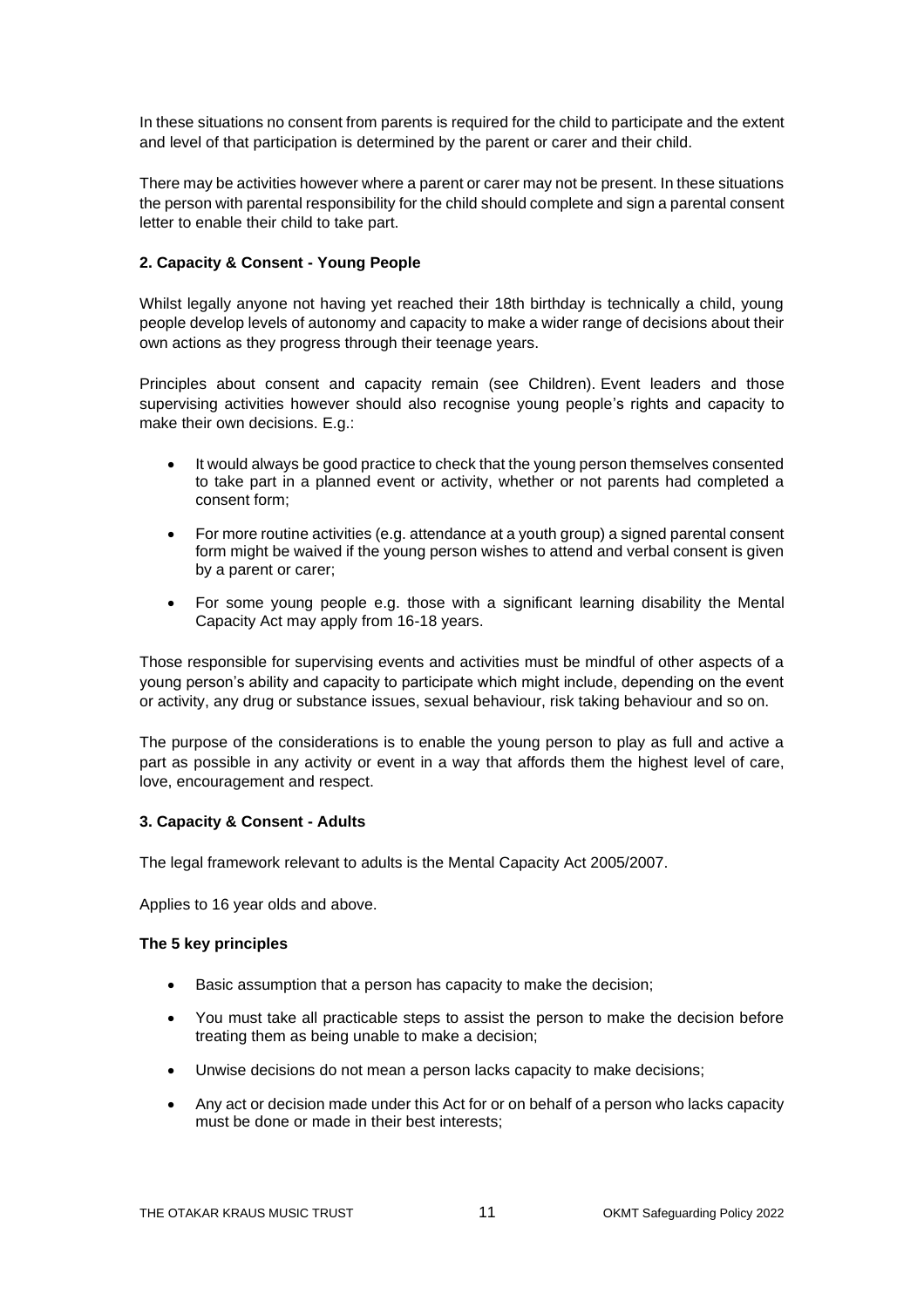In these situations no consent from parents is required for the child to participate and the extent and level of that participation is determined by the parent or carer and their child.

There may be activities however where a parent or carer may not be present. In these situations the person with parental responsibility for the child should complete and sign a parental consent letter to enable their child to take part.

### **2. Capacity & Consent - Young People**

Whilst legally anyone not having yet reached their 18th birthday is technically a child, young people develop levels of autonomy and capacity to make a wider range of decisions about their own actions as they progress through their teenage years.

Principles about consent and capacity remain (see Children). Event leaders and those supervising activities however should also recognise young people's rights and capacity to make their own decisions. E.g.:

- It would always be good practice to check that the young person themselves consented to take part in a planned event or activity, whether or not parents had completed a consent form;
- For more routine activities (e.g. attendance at a youth group) a signed parental consent form might be waived if the young person wishes to attend and verbal consent is given by a parent or carer;
- For some young people e.g. those with a significant learning disability the Mental Capacity Act may apply from 16-18 years.

Those responsible for supervising events and activities must be mindful of other aspects of a young person's ability and capacity to participate which might include, depending on the event or activity, any drug or substance issues, sexual behaviour, risk taking behaviour and so on.

The purpose of the considerations is to enable the young person to play as full and active a part as possible in any activity or event in a way that affords them the highest level of care, love, encouragement and respect.

#### **3. Capacity & Consent - Adults**

The legal framework relevant to adults is the Mental Capacity Act 2005/2007.

Applies to 16 year olds and above.

#### **The 5 key principles**

- Basic assumption that a person has capacity to make the decision;
- You must take all practicable steps to assist the person to make the decision before treating them as being unable to make a decision;
- Unwise decisions do not mean a person lacks capacity to make decisions;
- Any act or decision made under this Act for or on behalf of a person who lacks capacity must be done or made in their best interests;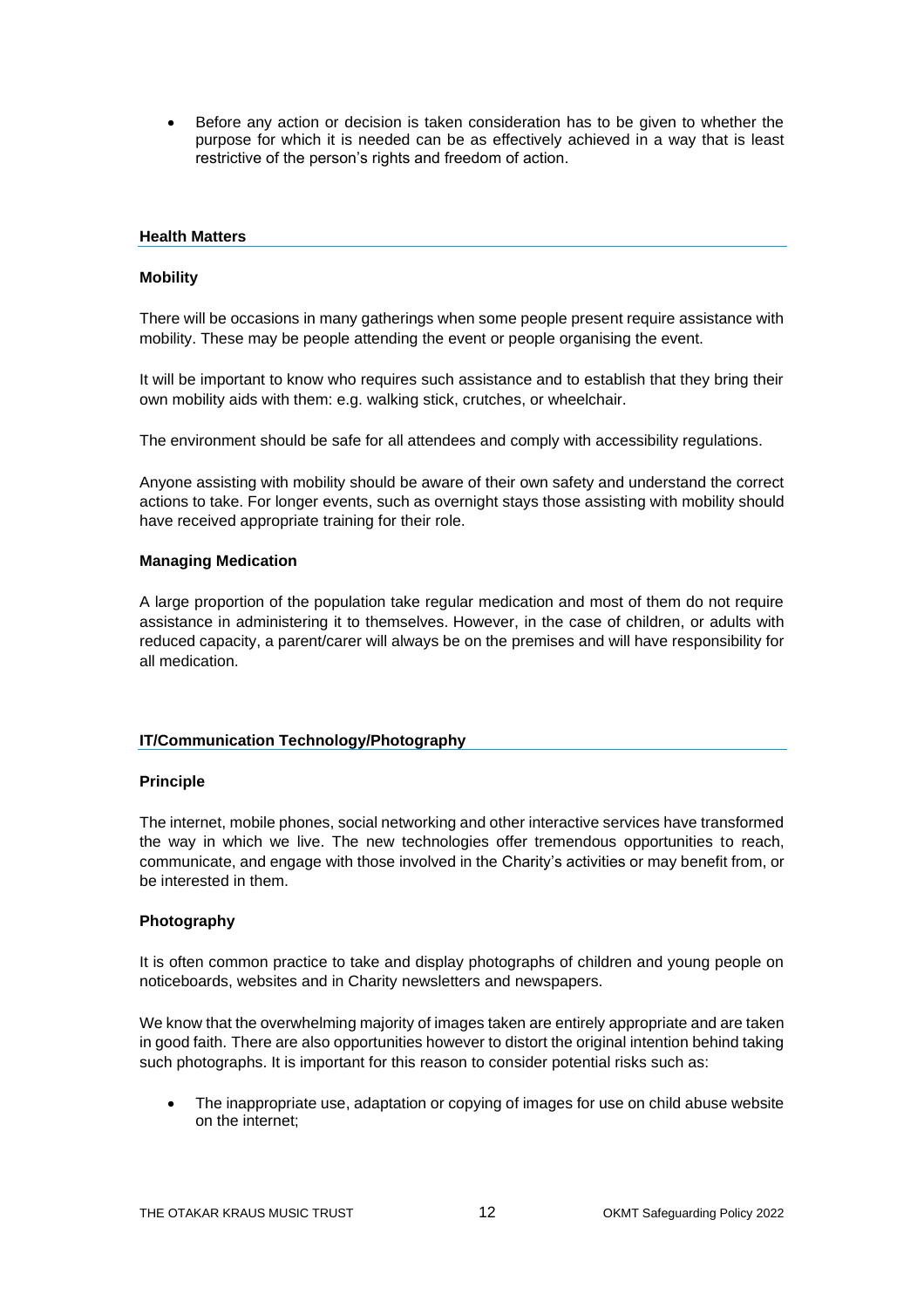• Before any action or decision is taken consideration has to be given to whether the purpose for which it is needed can be as effectively achieved in a way that is least restrictive of the person's rights and freedom of action.

### **Health Matters**

### **Mobility**

There will be occasions in many gatherings when some people present require assistance with mobility. These may be people attending the event or people organising the event.

It will be important to know who requires such assistance and to establish that they bring their own mobility aids with them: e.g. walking stick, crutches, or wheelchair.

The environment should be safe for all attendees and comply with accessibility regulations.

Anyone assisting with mobility should be aware of their own safety and understand the correct actions to take. For longer events, such as overnight stays those assisting with mobility should have received appropriate training for their role.

### **Managing Medication**

A large proportion of the population take regular medication and most of them do not require assistance in administering it to themselves. However, in the case of children, or adults with reduced capacity, a parent/carer will always be on the premises and will have responsibility for all medication.

### **IT/Communication Technology/Photography**

#### **Principle**

The internet, mobile phones, social networking and other interactive services have transformed the way in which we live. The new technologies offer tremendous opportunities to reach, communicate, and engage with those involved in the Charity's activities or may benefit from, or be interested in them.

### **Photography**

It is often common practice to take and display photographs of children and young people on noticeboards, websites and in Charity newsletters and newspapers.

We know that the overwhelming majority of images taken are entirely appropriate and are taken in good faith. There are also opportunities however to distort the original intention behind taking such photographs. It is important for this reason to consider potential risks such as:

• The inappropriate use, adaptation or copying of images for use on child abuse website on the internet;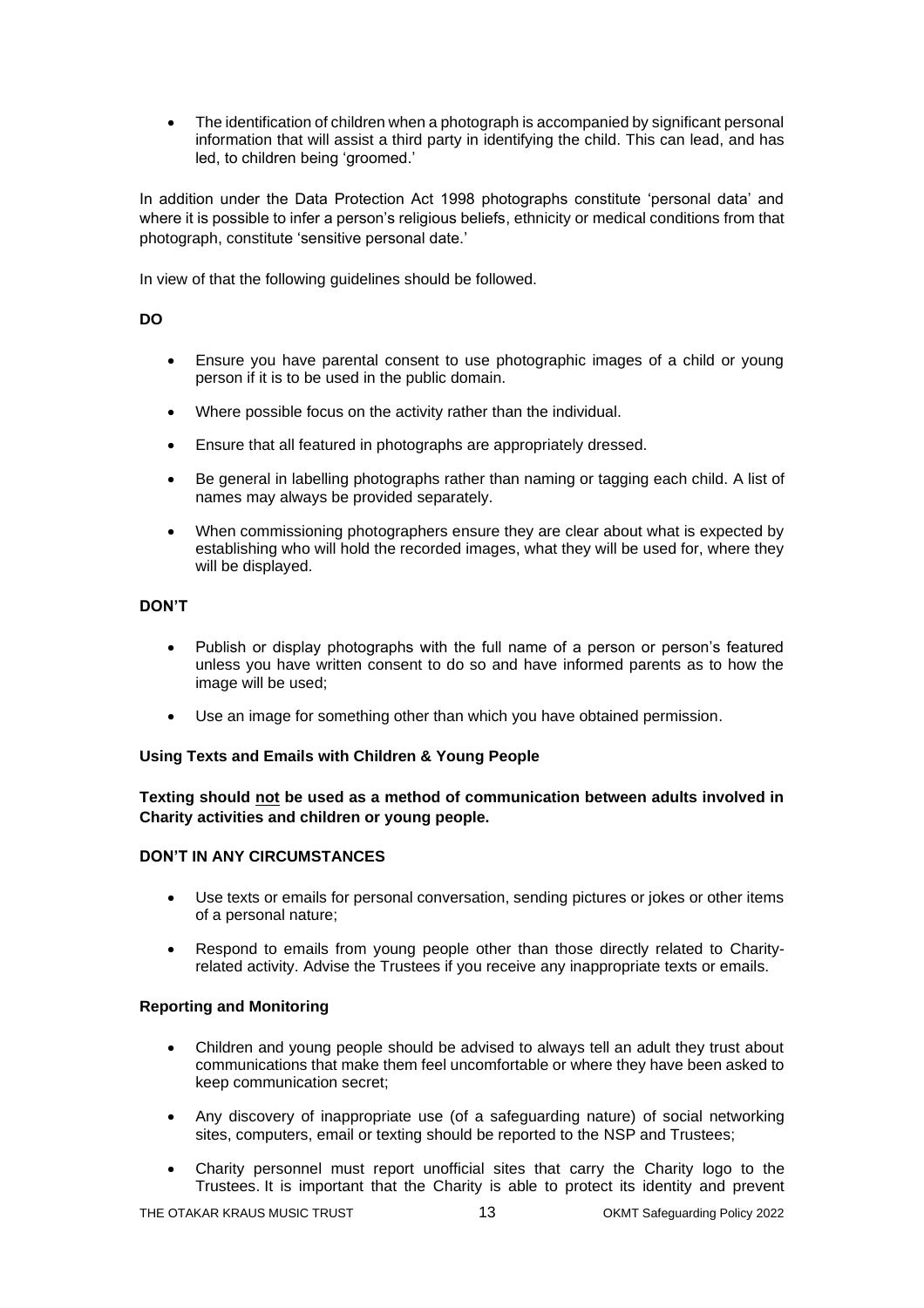• The identification of children when a photograph is accompanied by significant personal information that will assist a third party in identifying the child. This can lead, and has led, to children being 'groomed.'

In addition under the Data Protection Act 1998 photographs constitute 'personal data' and where it is possible to infer a person's religious beliefs, ethnicity or medical conditions from that photograph, constitute 'sensitive personal date.'

In view of that the following guidelines should be followed.

### **DO**

- Ensure you have parental consent to use photographic images of a child or young person if it is to be used in the public domain.
- Where possible focus on the activity rather than the individual.
- Ensure that all featured in photographs are appropriately dressed.
- Be general in labelling photographs rather than naming or tagging each child. A list of names may always be provided separately.
- When commissioning photographers ensure they are clear about what is expected by establishing who will hold the recorded images, what they will be used for, where they will be displayed.

### **DON'T**

- Publish or display photographs with the full name of a person or person's featured unless you have written consent to do so and have informed parents as to how the image will be used;
- Use an image for something other than which you have obtained permission.

### **Using Texts and Emails with Children & Young People**

### **Texting should not be used as a method of communication between adults involved in Charity activities and children or young people.**

### **DON'T IN ANY CIRCUMSTANCES**

- Use texts or emails for personal conversation, sending pictures or jokes or other items of a personal nature;
- Respond to emails from young people other than those directly related to Charityrelated activity. Advise the Trustees if you receive any inappropriate texts or emails.

### **Reporting and Monitoring**

- Children and young people should be advised to always tell an adult they trust about communications that make them feel uncomfortable or where they have been asked to keep communication secret;
- Any discovery of inappropriate use (of a safeguarding nature) of social networking sites, computers, email or texting should be reported to the NSP and Trustees;
- Charity personnel must report unofficial sites that carry the Charity logo to the Trustees. It is important that the Charity is able to protect its identity and prevent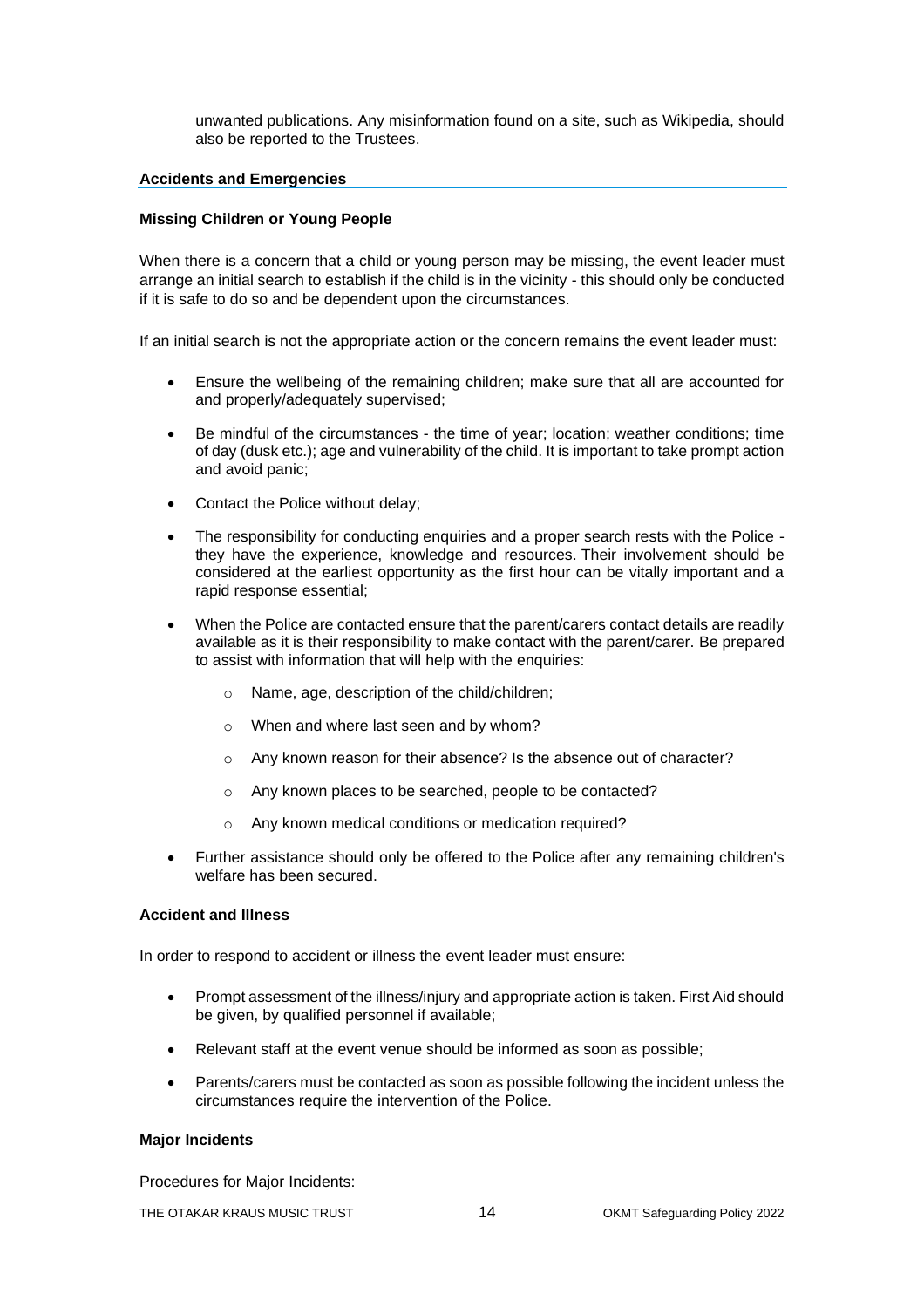unwanted publications. Any misinformation found on a site, such as Wikipedia, should also be reported to the Trustees.

#### **Accidents and Emergencies**

### **Missing Children or Young People**

When there is a concern that a child or young person may be missing, the event leader must arrange an initial search to establish if the child is in the vicinity - this should only be conducted if it is safe to do so and be dependent upon the circumstances.

If an initial search is not the appropriate action or the concern remains the event leader must:

- Ensure the wellbeing of the remaining children; make sure that all are accounted for and properly/adequately supervised;
- Be mindful of the circumstances the time of year; location; weather conditions; time of day (dusk etc.); age and vulnerability of the child. It is important to take prompt action and avoid panic;
- Contact the Police without delay;
- The responsibility for conducting enquiries and a proper search rests with the Police they have the experience, knowledge and resources. Their involvement should be considered at the earliest opportunity as the first hour can be vitally important and a rapid response essential;
- When the Police are contacted ensure that the parent/carers contact details are readily available as it is their responsibility to make contact with the parent/carer. Be prepared to assist with information that will help with the enquiries:
	- o Name, age, description of the child/children;
	- o When and where last seen and by whom?
	- o Any known reason for their absence? Is the absence out of character?
	- o Any known places to be searched, people to be contacted?
	- o Any known medical conditions or medication required?
- Further assistance should only be offered to the Police after any remaining children's welfare has been secured.

### **Accident and Illness**

In order to respond to accident or illness the event leader must ensure:

- Prompt assessment of the illness/injury and appropriate action is taken. First Aid should be given, by qualified personnel if available;
- Relevant staff at the event venue should be informed as soon as possible;
- Parents/carers must be contacted as soon as possible following the incident unless the circumstances require the intervention of the Police.

### **Major Incidents**

Procedures for Major Incidents: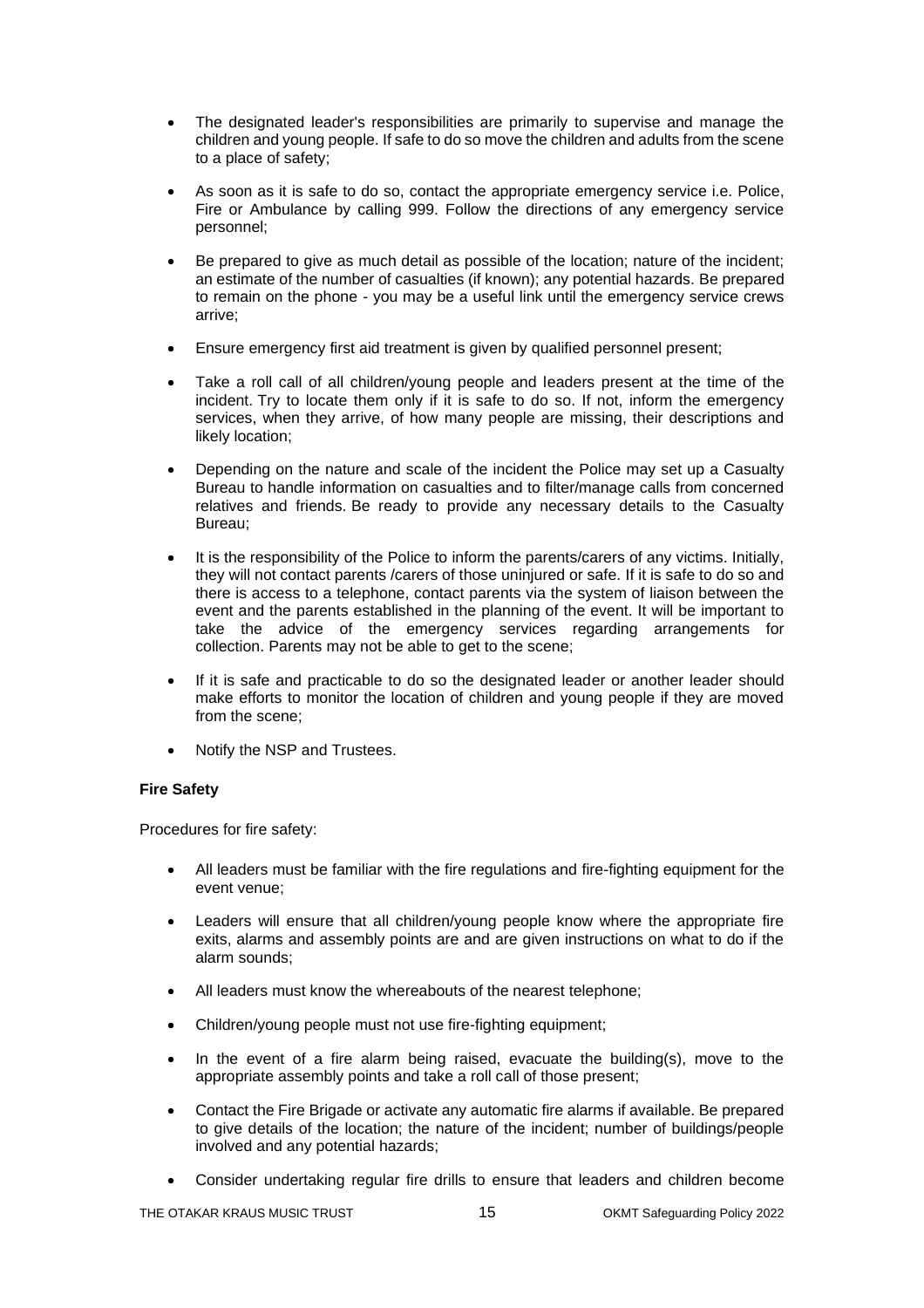- The designated leader's responsibilities are primarily to supervise and manage the children and young people. If safe to do so move the children and adults from the scene to a place of safety;
- As soon as it is safe to do so, contact the appropriate emergency service i.e. Police, Fire or Ambulance by calling 999. Follow the directions of any emergency service personnel;
- Be prepared to give as much detail as possible of the location; nature of the incident; an estimate of the number of casualties (if known); any potential hazards. Be prepared to remain on the phone - you may be a useful link until the emergency service crews arrive;
- Ensure emergency first aid treatment is given by qualified personnel present;
- Take a roll call of all children/young people and leaders present at the time of the incident. Try to locate them only if it is safe to do so. If not, inform the emergency services, when they arrive, of how many people are missing, their descriptions and likely location;
- Depending on the nature and scale of the incident the Police may set up a Casualty Bureau to handle information on casualties and to filter/manage calls from concerned relatives and friends. Be ready to provide any necessary details to the Casualty Bureau;
- It is the responsibility of the Police to inform the parents/carers of any victims. Initially, they will not contact parents /carers of those uninjured or safe. If it is safe to do so and there is access to a telephone, contact parents via the system of liaison between the event and the parents established in the planning of the event. It will be important to take the advice of the emergency services regarding arrangements for collection. Parents may not be able to get to the scene;
- If it is safe and practicable to do so the designated leader or another leader should make efforts to monitor the location of children and young people if they are moved from the scene;
- Notify the NSP and Trustees.

### **Fire Safety**

Procedures for fire safety:

- All leaders must be familiar with the fire regulations and fire-fighting equipment for the event venue;
- Leaders will ensure that all children/young people know where the appropriate fire exits, alarms and assembly points are and are given instructions on what to do if the alarm sounds;
- All leaders must know the whereabouts of the nearest telephone;
- Children/young people must not use fire-fighting equipment;
- In the event of a fire alarm being raised, evacuate the building $(s)$ , move to the appropriate assembly points and take a roll call of those present;
- Contact the Fire Brigade or activate any automatic fire alarms if available. Be prepared to give details of the location; the nature of the incident; number of buildings/people involved and any potential hazards;
- Consider undertaking regular fire drills to ensure that leaders and children become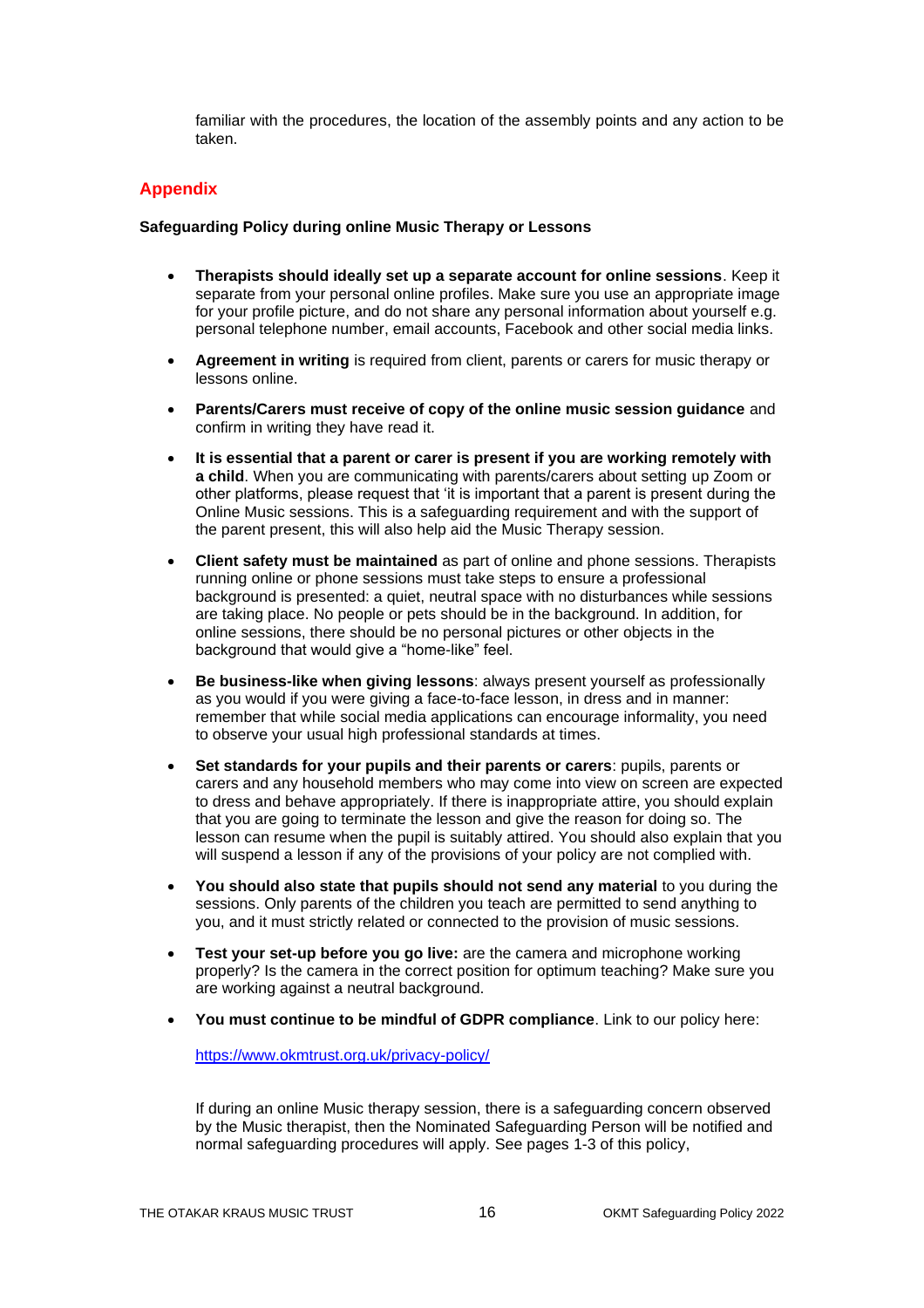familiar with the procedures, the location of the assembly points and any action to be taken.

### **Appendix**

### **Safeguarding Policy during online Music Therapy or Lessons**

- **Therapists should ideally set up a separate account for online sessions**. Keep it separate from your personal online profiles. Make sure you use an appropriate image for your profile picture, and do not share any personal information about yourself e.g. personal telephone number, email accounts, Facebook and other social media links.
- **Agreement in writing** is required from client, parents or carers for music therapy or lessons online.
- **Parents/Carers must receive of copy of the online music session guidance** and confirm in writing they have read it.
- **It is essential that a parent or carer is present if you are working remotely with a child**. When you are communicating with parents/carers about setting up Zoom or other platforms, please request that 'it is important that a parent is present during the Online Music sessions. This is a safeguarding requirement and with the support of the parent present, this will also help aid the Music Therapy session.
- **Client safety must be maintained** as part of online and phone sessions. Therapists running online or phone sessions must take steps to ensure a professional background is presented: a quiet, neutral space with no disturbances while sessions are taking place. No people or pets should be in the background. In addition, for online sessions, there should be no personal pictures or other objects in the background that would give a "home-like" feel.
- **Be business-like when giving lessons**: always present yourself as professionally as you would if you were giving a face-to-face lesson, in dress and in manner: remember that while social media applications can encourage informality, you need to observe your usual high professional standards at times.
- **Set standards for your pupils and their parents or carers**: pupils, parents or carers and any household members who may come into view on screen are expected to dress and behave appropriately. If there is inappropriate attire, you should explain that you are going to terminate the lesson and give the reason for doing so. The lesson can resume when the pupil is suitably attired. You should also explain that you will suspend a lesson if any of the provisions of your policy are not complied with.
- **You should also state that pupils should not send any material** to you during the sessions. Only parents of the children you teach are permitted to send anything to you, and it must strictly related or connected to the provision of music sessions.
- **Test your set-up before you go live:** are the camera and microphone working properly? Is the camera in the correct position for optimum teaching? Make sure you are working against a neutral background.
- **You must continue to be mindful of GDPR compliance**. Link to our policy here:

<https://www.okmtrust.org.uk/privacy-policy/>

If during an online Music therapy session, there is a safeguarding concern observed by the Music therapist, then the Nominated Safeguarding Person will be notified and normal safeguarding procedures will apply. See pages 1-3 of this policy,